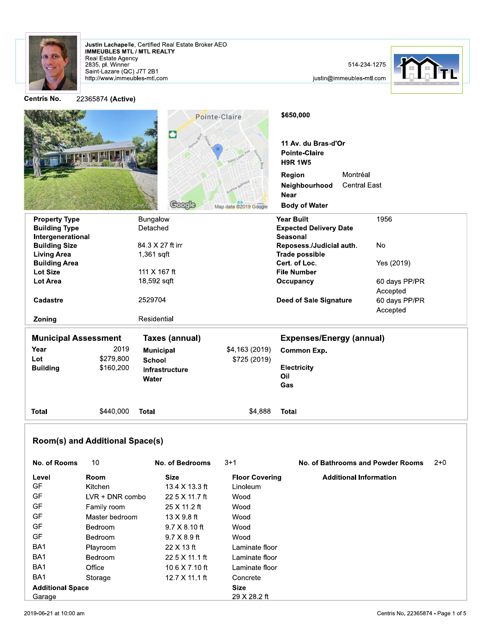

Justin Lachapelle, Certified Real Estate Broker AEO<br>IMMEUBLES MTL / MTL REALTY Real Estate Agency<br>2835, pl. Winner Saint-Lazare (QC) J7T 2B1<br>http://www.immeubles-mtl.com

514-234-1275

justin@immeubles-mtl.com



**Centris N** 

| ۱o. | 22365874 (Active) |
|-----|-------------------|
|-----|-------------------|

|                                               |           | Coogle           | Pointe-Claire<br>Map data @2019 Google | \$650,000<br>11 Av. du Bras-d'Or<br><b>Pointe-Claire</b><br><b>H9R 1W5</b><br>Region<br>Neighbourhood<br><b>Near</b><br><b>Body of Water</b> | Montréal<br><b>Central East</b> |
|-----------------------------------------------|-----------|------------------|----------------------------------------|----------------------------------------------------------------------------------------------------------------------------------------------|---------------------------------|
| <b>Property Type</b>                          |           | Bungalow         |                                        | <b>Year Built</b>                                                                                                                            | 1956                            |
| <b>Building Type</b>                          |           | Detached         |                                        | <b>Expected Delivery Date</b>                                                                                                                |                                 |
| Intergenerational                             |           |                  |                                        | <b>Seasonal</b>                                                                                                                              |                                 |
| <b>Building Size</b>                          |           | 84.3 X 27 ft irr |                                        | Reposess./Judicial auth.                                                                                                                     | <b>No</b>                       |
| <b>Living Area</b><br><b>Building Area</b>    |           | 1,361 sqft       |                                        | <b>Trade possible</b><br>Cert. of Loc.                                                                                                       | Yes (2019)                      |
| <b>Lot Size</b>                               |           | 111 X 167 ft     |                                        | <b>File Number</b>                                                                                                                           |                                 |
| <b>Lot Area</b>                               |           | 18,592 sqft      |                                        | Occupancy                                                                                                                                    | 60 days PP/PR                   |
|                                               |           |                  |                                        |                                                                                                                                              | Accepted                        |
| Cadastre                                      |           | 2529704          |                                        | <b>Deed of Sale Signature</b>                                                                                                                | 60 days PP/PR<br>Accepted       |
| Zoning                                        |           | Residential      |                                        |                                                                                                                                              |                                 |
| <b>Municipal Assessment</b><br>Taxes (annual) |           |                  | <b>Expenses/Energy (annual)</b>        |                                                                                                                                              |                                 |
| Year                                          | 2019      | <b>Municipal</b> | \$4,163 (2019)                         | <b>Common Exp.</b>                                                                                                                           |                                 |
| Lot                                           | \$279,800 | <b>School</b>    | \$725 (2019)                           |                                                                                                                                              |                                 |
| <b>Building</b>                               | \$160,200 | Infrastructure   |                                        | <b>Electricity</b><br>Oil                                                                                                                    |                                 |
|                                               |           | Water            |                                        | Gas                                                                                                                                          |                                 |
| <b>Total</b>                                  | \$440,000 | <b>Total</b>     | \$4,888                                | <b>Total</b>                                                                                                                                 |                                 |

## **Room(s) and Additional Space(s)**

| No. of Rooms            | 10                | No. of Bedrooms       | $3 + 1$               | No. of Bathrooms and Powder Rooms | $2+0$ |
|-------------------------|-------------------|-----------------------|-----------------------|-----------------------------------|-------|
| Level                   | Room              | <b>Size</b>           | <b>Floor Covering</b> | <b>Additional Information</b>     |       |
| GF                      | Kitchen           | 13.4 X 13.3 ft        | Linoleum              |                                   |       |
| GF                      | $LVR + DNR$ combo | $22.5 \times 11.7$ ft | Wood                  |                                   |       |
| GF                      | Family room       | 25 X 11.2 ft          | Wood                  |                                   |       |
| GF                      | Master bedroom    | $13 \times 9.8$ ft    | Wood                  |                                   |       |
| GF                      | <b>Bedroom</b>    | $9.7 \times 8.10$ ft  | Wood                  |                                   |       |
| GF                      | <b>Bedroom</b>    | $9.7 \times 8.9$ ft   | Wood                  |                                   |       |
| BA <sub>1</sub>         | Playroom          | $22 \times 13$ ft     | Laminate floor        |                                   |       |
| BA <sub>1</sub>         | <b>Bedroom</b>    | $22.5 \times 11.1$ ft | Laminate floor        |                                   |       |
| BA <sub>1</sub>         | Office            | 10.6 $\times$ 7.10 ft | Laminate floor        |                                   |       |
| BA <sub>1</sub>         | Storage           | 12.7 X 11.1 ft        | Concrete              |                                   |       |
| <b>Additional Space</b> |                   |                       | <b>Size</b>           |                                   |       |
| Garage                  |                   |                       | 29 X 28.2 ft          |                                   |       |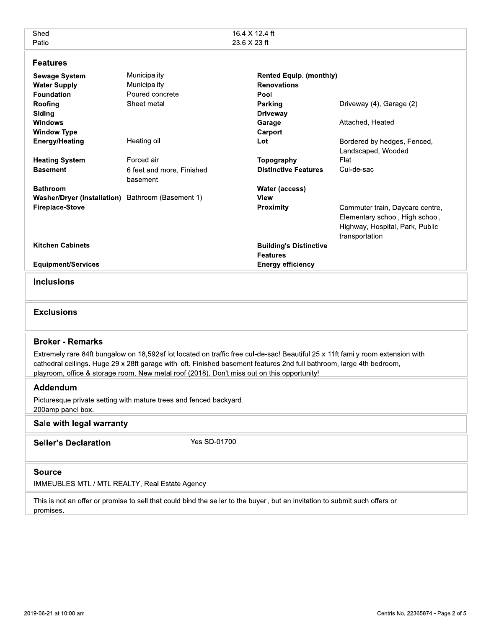| Shed<br>Patio                                                                                                                                                                                                                                                                                                                                           |                                                 | 16.4 X 12.4 ft<br>23.6 X 23 ft                               |                                                                                                                         |  |  |  |
|---------------------------------------------------------------------------------------------------------------------------------------------------------------------------------------------------------------------------------------------------------------------------------------------------------------------------------------------------------|-------------------------------------------------|--------------------------------------------------------------|-------------------------------------------------------------------------------------------------------------------------|--|--|--|
| <b>Features</b>                                                                                                                                                                                                                                                                                                                                         |                                                 |                                                              |                                                                                                                         |  |  |  |
| <b>Sewage System</b><br><b>Water Supply</b><br><b>Foundation</b>                                                                                                                                                                                                                                                                                        | Municipality<br>Municipality<br>Poured concrete | <b>Rented Equip. (monthly)</b><br><b>Renovations</b><br>Pool |                                                                                                                         |  |  |  |
| Roofing<br>Siding                                                                                                                                                                                                                                                                                                                                       | Sheet metal                                     | Parking<br><b>Driveway</b>                                   | Driveway (4), Garage (2)                                                                                                |  |  |  |
| <b>Windows</b><br><b>Window Type</b>                                                                                                                                                                                                                                                                                                                    |                                                 | Garage<br>Carport                                            | Attached, Heated                                                                                                        |  |  |  |
| <b>Energy/Heating</b>                                                                                                                                                                                                                                                                                                                                   | Heating oil                                     | Lot                                                          | Bordered by hedges, Fenced,<br>Landscaped, Wooded                                                                       |  |  |  |
| <b>Heating System</b>                                                                                                                                                                                                                                                                                                                                   | Forced air                                      | Topography                                                   | Flat                                                                                                                    |  |  |  |
| <b>Basement</b>                                                                                                                                                                                                                                                                                                                                         | 6 feet and more, Finished<br>basement           | <b>Distinctive Features</b>                                  | Cul-de-sac                                                                                                              |  |  |  |
| <b>Bathroom</b>                                                                                                                                                                                                                                                                                                                                         |                                                 | Water (access)                                               |                                                                                                                         |  |  |  |
| <b>Washer/Dryer (installation)</b>                                                                                                                                                                                                                                                                                                                      | Bathroom (Basement 1)                           | View                                                         |                                                                                                                         |  |  |  |
| <b>Fireplace-Stove</b>                                                                                                                                                                                                                                                                                                                                  |                                                 | <b>Proximity</b>                                             | Commuter train, Daycare centre,<br>Elementary school, High school,<br>Highway, Hospital, Park, Public<br>transportation |  |  |  |
| <b>Kitchen Cabinets</b>                                                                                                                                                                                                                                                                                                                                 |                                                 | <b>Building's Distinctive</b><br><b>Features</b>             |                                                                                                                         |  |  |  |
| <b>Equipment/Services</b>                                                                                                                                                                                                                                                                                                                               |                                                 | <b>Energy efficiency</b>                                     |                                                                                                                         |  |  |  |
| <b>Inclusions</b>                                                                                                                                                                                                                                                                                                                                       |                                                 |                                                              |                                                                                                                         |  |  |  |
| <b>Exclusions</b>                                                                                                                                                                                                                                                                                                                                       |                                                 |                                                              |                                                                                                                         |  |  |  |
| <b>Broker - Remarks</b>                                                                                                                                                                                                                                                                                                                                 |                                                 |                                                              |                                                                                                                         |  |  |  |
| Extremely rare 84ft bungalow on 18,592sf lot located on traffic free cul-de-sac! Beautiful 25 x 11ft family room extension with<br>cathedral ceilings. Huge 29 x 28ft garage with loft. Finished basement features 2nd full bathroom, large 4th bedroom,<br>playroom, office & storage room. New metal roof (2018). Don't miss out on this opportunity! |                                                 |                                                              |                                                                                                                         |  |  |  |
| Addendum                                                                                                                                                                                                                                                                                                                                                |                                                 |                                                              |                                                                                                                         |  |  |  |
| Picturesque private setting with mature trees and fenced backyard.<br>200amp panel box.                                                                                                                                                                                                                                                                 |                                                 |                                                              |                                                                                                                         |  |  |  |
| Sale with legal warranty                                                                                                                                                                                                                                                                                                                                |                                                 |                                                              |                                                                                                                         |  |  |  |
| Yes SD-01700<br><b>Seller's Declaration</b>                                                                                                                                                                                                                                                                                                             |                                                 |                                                              |                                                                                                                         |  |  |  |
| <b>Source</b><br>IMMEUBLES MTL / MTL REALTY, Real Estate Agency                                                                                                                                                                                                                                                                                         |                                                 |                                                              |                                                                                                                         |  |  |  |
| This is not an offer or promise to sell that could bind the seller to the buyer, but an invitation to submit such offers or<br>promises.                                                                                                                                                                                                                |                                                 |                                                              |                                                                                                                         |  |  |  |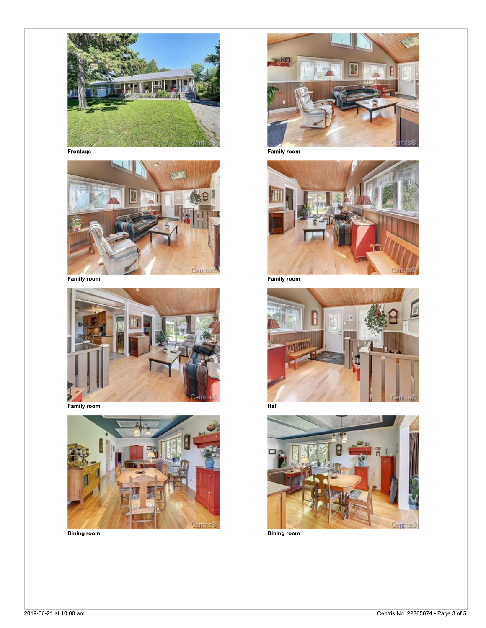

Frontage



**Family room** 





**Dining room** 



**Family room** 



**Family room** 







Dining room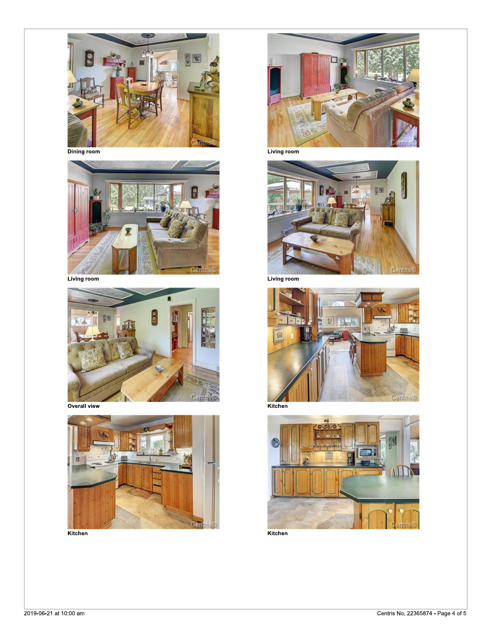

Dining room



Living room



Overall view



Kitchen



Living room



Living room







Kitchen